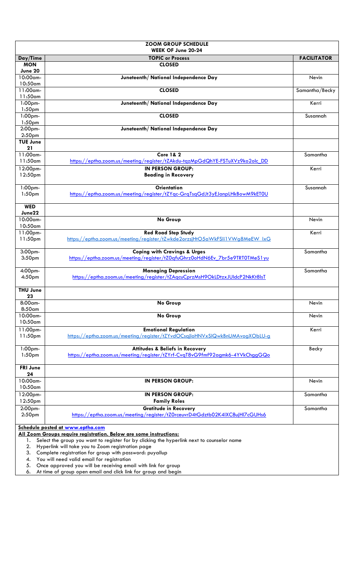| <b>ZOOM GROUP SCHEDULE</b><br>WEEK OF June 20-24              |                                                                                                                                                 |                    |  |
|---------------------------------------------------------------|-------------------------------------------------------------------------------------------------------------------------------------------------|--------------------|--|
| Day/Time                                                      | <b>TOPIC or Process</b>                                                                                                                         | <b>FACILITATOR</b> |  |
| <b>MON</b>                                                    | <b>CLOSED</b>                                                                                                                                   |                    |  |
| June 20                                                       |                                                                                                                                                 |                    |  |
| 10:00am-                                                      | Juneteenth/ National Independence Day                                                                                                           | Nevin              |  |
| 10:50am                                                       |                                                                                                                                                 |                    |  |
| 11:00am-                                                      | <b>CLOSED</b>                                                                                                                                   | Samantha/Becky     |  |
| 11:50am<br>1:00 <sub>pm</sub>                                 | Juneteenth/ National Independence Day                                                                                                           | Kerri              |  |
| 1:50 <sub>pm</sub>                                            |                                                                                                                                                 |                    |  |
| 1:00 <sub>pm</sub><br>1:50 <sub>pm</sub>                      | <b>CLOSED</b>                                                                                                                                   | Susannah           |  |
| 2:00pm-<br>2:50 <sub>pm</sub>                                 | Juneteenth/ National Independence Day                                                                                                           |                    |  |
| <b>TUE June</b>                                               |                                                                                                                                                 |                    |  |
| 21                                                            |                                                                                                                                                 |                    |  |
| 11:00am-<br>$11:50$ am                                        | <b>Core 1&amp; 2</b><br>https://eptha.zoom.us/meeting/register/tZAkdu-tqzMpGdQhYE-FSTuXVz9ko2olc_DD                                             | Samantha           |  |
| 12:00pm-                                                      | <b>IN PERSON GROUP:</b>                                                                                                                         | Kerri              |  |
| 12:50pm                                                       | <b>Beading in Recovery</b>                                                                                                                      |                    |  |
| $1:00$ pm-                                                    | <b>Orientation</b>                                                                                                                              | Susannah           |  |
| 1:50 <sub>pm</sub>                                            | https://eptha.zoom.us/meeting/register/tZYgc-GrqTsqGdJt3yEJanpLHkBowM9kET0U                                                                     |                    |  |
| <b>WED</b><br>June22                                          |                                                                                                                                                 |                    |  |
| 10:00am-                                                      | No Group                                                                                                                                        | Nevin              |  |
| 10:50am                                                       |                                                                                                                                                 |                    |  |
| 11:00pm-                                                      | <b>Red Road Step Study</b>                                                                                                                      | Kerri              |  |
| 11:50pm                                                       | https://eptha.zoom.us/meeting/register/tZwkde2orzsjHtO5aWkFSIi1VWg8MeEW lxG                                                                     |                    |  |
| 3:00pm-                                                       | <b>Coping with Cravings &amp; Urges</b>                                                                                                         | Samantha           |  |
| 3:50 <sub>pm</sub>                                            | https://eptha.zoom.us/meeting/register/tZ0qfuGhrz0oHdN6Ev 7br5e9TRT0TMeS1yu                                                                     |                    |  |
|                                                               |                                                                                                                                                 |                    |  |
| 4:00pm-                                                       | <b>Managing Depression</b>                                                                                                                      | Samantha           |  |
| 4:50 <sub>pm</sub>                                            | https://eptha.zoom.us/meeting/register/tZAgcuCprzMsH9OkLDtzxJUIdcP2NkKt8IsT                                                                     |                    |  |
| <b>THU June</b>                                               |                                                                                                                                                 |                    |  |
| 23                                                            |                                                                                                                                                 |                    |  |
| 8:00am-<br>$8:50$ am                                          | No Group                                                                                                                                        | Nevin              |  |
| 10:00am-                                                      | No Group                                                                                                                                        | Nevin              |  |
| 10:50am                                                       |                                                                                                                                                 |                    |  |
| 11:00pm-                                                      | <b>Emotional Regulation</b>                                                                                                                     | Kerri              |  |
| 11:50pm                                                       | https://eptha.zoom.us/meeting/register/tZYvdOCsgjloHNVxSIQwkBnUMAvogXObLU-g                                                                     |                    |  |
|                                                               |                                                                                                                                                 |                    |  |
| $1:00$ pm-<br>1:50 <sub>pm</sub>                              | <b>Attitudes &amp; Beliefs in Recovery</b><br>https://eptha.zoom.us/meeting/register/tZYrf-CvqT8vG9fmf92agmk6-4YVkChggGQo                       | Becky              |  |
|                                                               |                                                                                                                                                 |                    |  |
| <b>FRI June</b>                                               |                                                                                                                                                 |                    |  |
| 24                                                            |                                                                                                                                                 |                    |  |
| 10:00am-                                                      | <b>IN PERSON GROUP:</b>                                                                                                                         | Nevin              |  |
| 10:50am                                                       |                                                                                                                                                 |                    |  |
| 12:00pm-                                                      | <b>IN PERSON GROUP:</b>                                                                                                                         | Samantha           |  |
| 12:50pm                                                       | <b>Family Roles</b>                                                                                                                             |                    |  |
| 2:00pm-                                                       | <b>Gratitude in Recovery</b>                                                                                                                    | Samantha           |  |
| 2:50 <sub>pm</sub>                                            | https://eptha.zoom.us/meeting/register/tZ0rceuvrD4tGdztb02K4IXC8ujHl7cGUHs6                                                                     |                    |  |
| Schedule posted at www.eptha.com                              |                                                                                                                                                 |                    |  |
|                                                               | All Zoom Groups require registration. Below are some instructions:                                                                              |                    |  |
| 1.<br>2.                                                      | Select the group you want to register for by clicking the hyperlink next to counselor name<br>Hyperlink will take you to Zoom registration page |                    |  |
| 3.<br>Complete registration for group with password: puyallup |                                                                                                                                                 |                    |  |
|                                                               |                                                                                                                                                 |                    |  |

- 4. You will need valid email for registration
- 5. Once approved you will be receiving email with link for group

6. At time of group open email and click link for group and begin